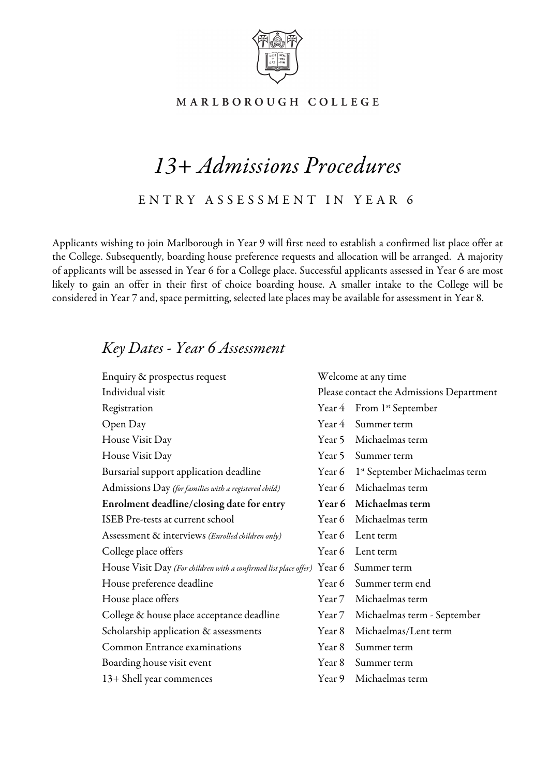

# MARLBOROUGH COLLEGE

# *13+ Admissions Procedures*

ENTRY ASSESSMENT IN YEAR 6

Applicants wishing to join Marlborough in Year 9 will first need to establish a confirmed list place offer at the College. Subsequently, boarding house preference requests and allocation will be arranged. A majority of applicants will be assessed in Year 6 for a College place. Successful applicants assessed in Year 6 are most likely to gain an offer in their first of choice boarding house. A smaller intake to the College will be considered in Year 7 and, space permitting, selected late places may be available for assessment in Year 8.

# *Key Dates - Year 6 Assessment*

| Enquiry & prospectus request                                                        | Welcome at any time |                                                  |
|-------------------------------------------------------------------------------------|---------------------|--------------------------------------------------|
| Individual visit                                                                    |                     | Please contact the Admissions Department         |
| Registration                                                                        |                     | Year 4 From 1 <sup>st</sup> September            |
| Open Day                                                                            |                     | Year 4 Summer term                               |
| House Visit Day                                                                     |                     | Year 5 Michaelmas term                           |
| House Visit Day                                                                     |                     | Year 5 Summer term                               |
| Bursarial support application deadline                                              |                     | Year 6 1 <sup>st</sup> September Michaelmas term |
| Admissions Day (for families with a registered child)                               |                     | Year 6 Michaelmas term                           |
| Enrolment deadline/closing date for entry                                           |                     | Year 6 Michaelmas term                           |
| ISEB Pre-tests at current school                                                    |                     | Year 6 Michaelmas term                           |
| Assessment & interviews (Enrolled children only)                                    |                     | Year 6 Lent term                                 |
| College place offers                                                                |                     | Year 6 Lent term                                 |
| House Visit Day (For children with a confirmed list place offer) Year 6 Summer term |                     |                                                  |
| House preference deadline                                                           |                     | Year 6 Summer term end                           |
| House place offers                                                                  |                     | Year 7 Michaelmas term                           |
| College & house place acceptance deadline                                           |                     | Year 7 Michaelmas term - September               |
| Scholarship application & assessments                                               |                     | Year 8 Michaelmas/Lent term                      |
| Common Entrance examinations                                                        | Year 8              | Summer term                                      |
| Boarding house visit event                                                          | Year 8              | Summer term                                      |
| 13+ Shell year commences                                                            |                     | Year 9 Michaelmas term                           |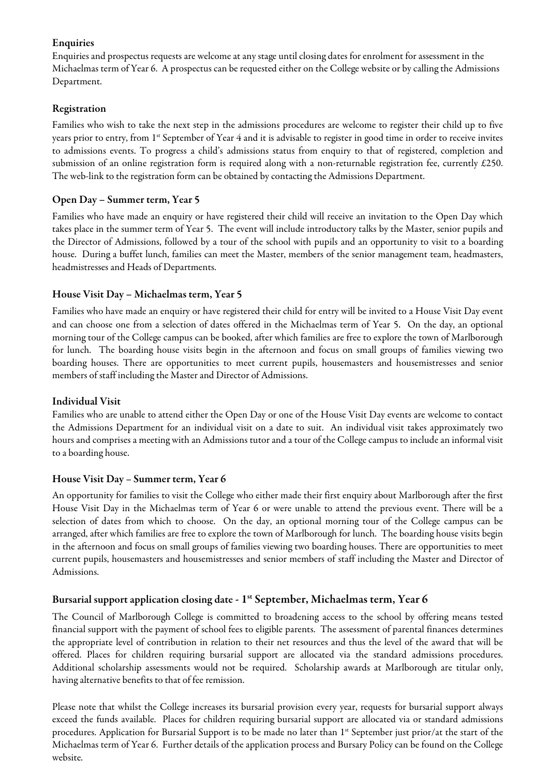#### Enquiries

Enquiries and prospectus requests are welcome at any stage until closing dates for enrolment for assessment in the Michaelmas term of Year 6. A prospectus can be requested either on the College website or by calling the Admissions Department.

## Registration

Families who wish to take the next step in the admissions procedures are welcome to register their child up to five years prior to entry, from 1<sup>st</sup> September of Year 4 and it is advisable to register in good time in order to receive invites to admissions events. To progress a child's admissions status from enquiry to that of registered, completion and submission of an online registration form is required along with a non-returnable registration fee, currently £250. The web-link to the registration form can be obtained by contacting the Admissions Department.

# Open Day – Summer term, Year 5

Families who have made an enquiry or have registered their child will receive an invitation to the Open Day which takes place in the summer term of Year 5. The event will include introductory talks by the Master, senior pupils and the Director of Admissions, followed by a tour of the school with pupils and an opportunity to visit to a boarding house. During a buffet lunch, families can meet the Master, members of the senior management team, headmasters, headmistresses and Heads of Departments.

# House Visit Day – Michaelmas term, Year 5

Families who have made an enquiry or have registered their child for entry will be invited to a House Visit Day event and can choose one from a selection of dates offered in the Michaelmas term of Year 5. On the day, an optional morning tour of the College campus can be booked, after which families are free to explore the town of Marlborough for lunch. The boarding house visits begin in the afternoon and focus on small groups of families viewing two boarding houses. There are opportunities to meet current pupils, housemasters and housemistresses and senior members of staff including the Master and Director of Admissions.

#### Individual Visit

Families who are unable to attend either the Open Day or one of the House Visit Day events are welcome to contact the Admissions Department for an individual visit on a date to suit. An individual visit takes approximately two hours and comprises a meeting with an Admissions tutor and a tour of the College campus to include an informal visit to a boarding house.

#### House Visit Day – Summer term, Year 6

An opportunity for families to visit the College who either made their first enquiry about Marlborough after the first House Visit Day in the Michaelmas term of Year 6 or were unable to attend the previous event. There will be a selection of dates from which to choose. On the day, an optional morning tour of the College campus can be arranged, after which families are free to explore the town of Marlborough for lunch. The boarding house visits begin in the afternoon and focus on small groups of families viewing two boarding houses. There are opportunities to meet current pupils, housemasters and housemistresses and senior members of staff including the Master and Director of Admissions.

# Bursarial support application closing date - 1st September, Michaelmas term, Year 6

The Council of Marlborough College is committed to broadening access to the school by offering means tested financial support with the payment of school fees to eligible parents. The assessment of parental finances determines the appropriate level of contribution in relation to their net resources and thus the level of the award that will be offered. Places for children requiring bursarial support are allocated via the standard admissions procedures. Additional scholarship assessments would not be required. Scholarship awards at Marlborough are titular only, having alternative benefits to that of fee remission.

Please note that whilst the College increases its bursarial provision every year, requests for bursarial support always exceed the funds available. Places for children requiring bursarial support are allocated via or standard admissions procedures. Application for Bursarial Support is to be made no later than 1<sup>st</sup> September just prior/at the start of the Michaelmas term of Year 6. Further details of the application process and Bursary Policy can be found on the College website.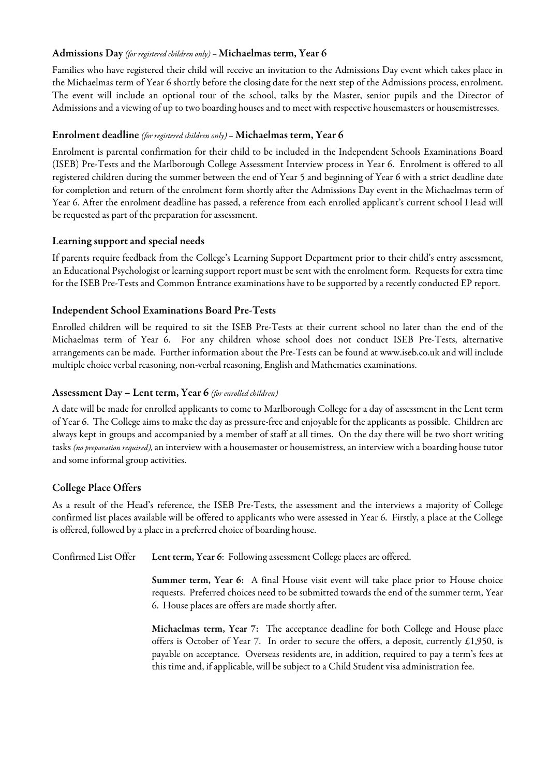#### Admissions Day *(for registered children only) –*Michaelmas term, Year 6

Families who have registered their child will receive an invitation to the Admissions Day event which takes place in the Michaelmas term of Year 6 shortly before the closing date for the next step of the Admissions process, enrolment. The event will include an optional tour of the school, talks by the Master, senior pupils and the Director of Admissions and a viewing of up to two boarding houses and to meet with respective housemasters or housemistresses.

#### Enrolment deadline *(for registered children only) –* Michaelmas term, Year 6

Enrolment is parental confirmation for their child to be included in the Independent Schools Examinations Board (ISEB) Pre-Tests and the Marlborough College Assessment Interview process in Year 6. Enrolment is offered to all registered children during the summer between the end of Year 5 and beginning of Year 6 with a strict deadline date for completion and return of the enrolment form shortly after the Admissions Day event in the Michaelmas term of Year 6. After the enrolment deadline has passed, a reference from each enrolled applicant's current school Head will be requested as part of the preparation for assessment.

#### Learning support and special needs

If parents require feedback from the College's Learning Support Department prior to their child's entry assessment, an Educational Psychologist or learning support report must be sent with the enrolment form. Requests for extra time for the ISEB Pre-Testsand Common Entrance examinations have to be supported by a recently conducted EP report.

#### Independent School Examinations Board Pre-Tests

Enrolled children will be required to sit the ISEB Pre-Tests at their current school no later than the end of the Michaelmas term of Year 6. For any children whose school does not conduct ISEB Pre-Tests, alternative arrangements can be made. Further information about the Pre-Tests can be found at [www.iseb.co.uk](http://www.iseb.co.uk/) and will include multiple choice verbal reasoning, non-verbal reasoning, English and Mathematics examinations.

#### Assessment Day – Lent term, Year 6 *(for enrolled children)*

A date will be made for enrolled applicants to come to Marlborough College for a day of assessment in the Lent term of Year 6. The College aims to makethe day as pressure-free and enjoyable for the applicants as possible. Children are always kept in groups and accompanied by a member of staff at all times. On the day there will be two short writing tasks *(no preparation required),* an interview with a housemaster or housemistress, an interview with a boarding house tutor and some informal group activities.

#### College Place Offers

As a result of the Head's reference, the ISEB Pre-Tests, the assessment and the interviews a majority of College confirmed list places available will be offered to applicants who were assessed in Year 6. Firstly, a place at the College is offered, followed by a place in a preferred choice of boarding house.

Confirmed List Offer Lent term, Year 6: Following assessment College places are offered.

Summer term, Year 6: A final House visit event will take place prior to House choice requests. Preferred choices need to be submitted towards the end of the summer term, Year 6. House places are offers are made shortly after.

Michaelmas term, Year 7: The acceptance deadline for both College and House place offers is October of Year 7. In order to secure the offers, a deposit, currently  $£1,950$ , is payable on acceptance. Overseas residents are, in addition, required to pay a term's fees at this time and, if applicable, will be subject to a Child Student visa administration fee.